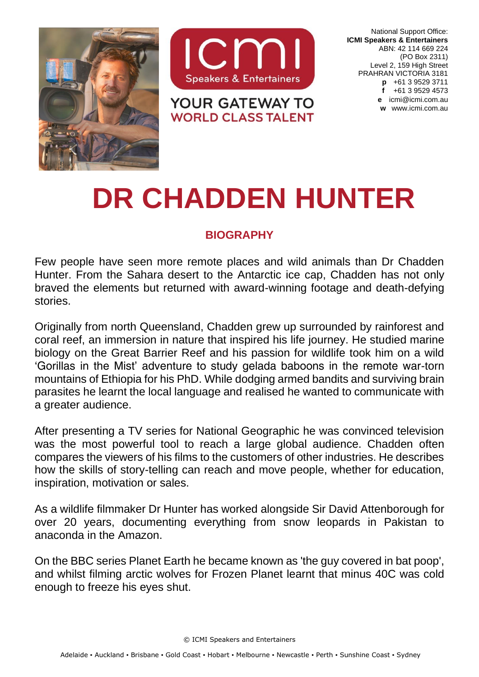



**YOUR GATEWAY TO WORLD CLASS TALENT** 

National Support Office: **ICMI Speakers & Entertainers** ABN: 42 114 669 224 (PO Box 2311) Level 2, 159 High Street PRAHRAN VICTORIA 3181 **p** +61 3 9529 3711 **f** +61 3 9529 4573 **e** [icmi@icmi.com.au](mailto:icmi@icmi.com.au) **w** www.icmi.com.au

## **DR CHADDEN HUNTER**

## **BIOGRAPHY**

Few people have seen more remote places and wild animals than Dr Chadden Hunter. From the Sahara desert to the Antarctic ice cap, Chadden has not only braved the elements but returned with award-winning footage and death-defying stories.

Originally from north Queensland, Chadden grew up surrounded by rainforest and coral reef, an immersion in nature that inspired his life journey. He studied marine biology on the Great Barrier Reef and his passion for wildlife took him on a wild 'Gorillas in the Mist' adventure to study gelada baboons in the remote war-torn mountains of Ethiopia for his PhD. While dodging armed bandits and surviving brain parasites he learnt the local language and realised he wanted to communicate with a greater audience.

After presenting a TV series for National Geographic he was convinced television was the most powerful tool to reach a large global audience. Chadden often compares the viewers of his films to the customers of other industries. He describes how the skills of story-telling can reach and move people, whether for education, inspiration, motivation or sales.

As a wildlife filmmaker Dr Hunter has worked alongside Sir David Attenborough for over 20 years, documenting everything from snow leopards in Pakistan to anaconda in the Amazon.

On the BBC series *Planet Earth* he became known as 'the guy covered in bat poop', and whilst filming arctic wolves for *Frozen Planet* learnt that minus 40C was cold enough to freeze his eyes shut.